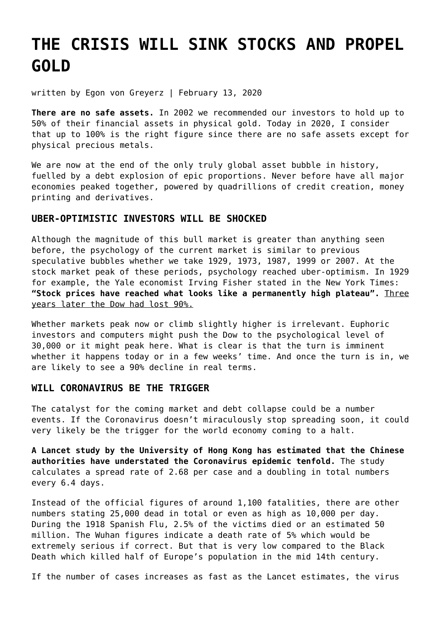# **[THE CRISIS WILL SINK STOCKS AND PROPEL](https://goldswitzerland.com/the-crisis-will-sink-stocks-and-propel-gold/) [GOLD](https://goldswitzerland.com/the-crisis-will-sink-stocks-and-propel-gold/)**

written by Egon von Greyerz | February 13, 2020

**There are no safe assets.** In 2002 we recommended our investors to hold up to 50% of their financial assets in physical gold. Today in 2020, I consider that up to 100% is the right figure since there are no safe assets except for physical precious metals.

We are now at the end of the only truly global asset bubble in history, fuelled by a debt explosion of epic proportions. Never before have all major economies peaked together, powered by quadrillions of credit creation, money printing and derivatives.

# **UBER-OPTIMISTIC INVESTORS WILL BE SHOCKED**

Although the magnitude of this bull market is greater than anything seen before, the psychology of the current market is similar to previous speculative bubbles whether we take 1929, 1973, 1987, 1999 or 2007. At the stock market peak of these periods, psychology reached uber-optimism. In 1929 for example, the Yale economist Irving Fisher stated in the New York Times: **"Stock prices have reached what looks like a permanently high plateau".** Three years later the Dow had lost 90%.

Whether markets peak now or climb slightly higher is irrelevant. Euphoric investors and computers might push the Dow to the psychological level of 30,000 or it might peak here. What is clear is that the turn is imminent whether it happens today or in a few weeks' time. And once the turn is in, we are likely to see a 90% decline in real terms.

# **WILL CORONAVIRUS BE THE TRIGGER**

The catalyst for the coming market and debt collapse could be a number events. If the Coronavirus doesn't miraculously stop spreading soon, it could very likely be the trigger for the world economy coming to a halt.

**A Lancet study by the University of Hong Kong has estimated that the Chinese authorities have understated the Coronavirus epidemic tenfold.** The study calculates a spread rate of 2.68 per case and a doubling in total numbers every 6.4 days.

Instead of the official figures of around 1,100 fatalities, there are other numbers stating 25,000 dead in total or even as high as 10,000 per day. During the 1918 Spanish Flu, 2.5% of the victims died or an estimated 50 million. The Wuhan figures indicate a death rate of 5% which would be extremely serious if correct. But that is very low compared to the Black Death which killed half of Europe's population in the mid 14th century.

If the number of cases increases as fast as the Lancet estimates, the virus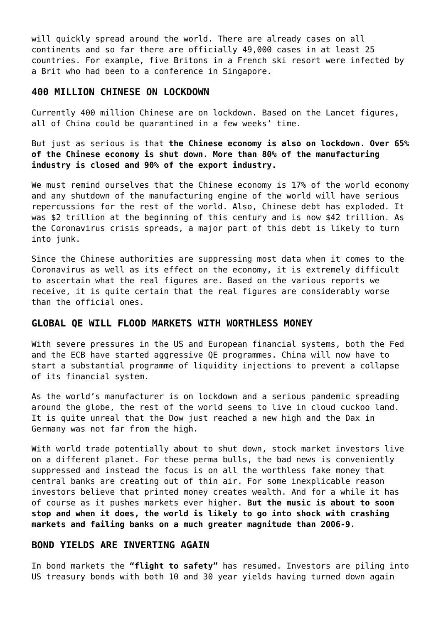will quickly spread around the world. There are already cases on all continents and so far there are officially 49,000 cases in at least 25 countries. For example, five Britons in a French ski resort were infected by a Brit who had been to a conference in Singapore.

#### **400 MILLION CHINESE ON LOCKDOWN**

Currently 400 million Chinese are on lockdown. Based on the Lancet figures, all of China could be quarantined in a few weeks' time.

But just as serious is that **the Chinese economy is also on lockdown. Over 65% of the Chinese economy is shut down. More than 80% of the manufacturing industry is closed and 90% of the export industry.**

We must remind ourselves that the Chinese economy is 17% of the world economy and any shutdown of the manufacturing engine of the world will have serious repercussions for the rest of the world. Also, Chinese debt has exploded. It was \$2 trillion at the beginning of this century and is now \$42 trillion. As the Coronavirus crisis spreads, a major part of this debt is likely to turn into junk.

Since the Chinese authorities are suppressing most data when it comes to the Coronavirus as well as its effect on the economy, it is extremely difficult to ascertain what the real figures are. Based on the various reports we receive, it is quite certain that the real figures are considerably worse than the official ones.

## **GLOBAL QE WILL FLOOD MARKETS WITH WORTHLESS MONEY**

With severe pressures in the US and European financial systems, both the Fed and the ECB have started aggressive QE programmes. China will now have to start a substantial programme of liquidity injections to prevent a collapse of its financial system.

As the world's manufacturer is on lockdown and a serious pandemic spreading around the globe, the rest of the world seems to live in cloud cuckoo land. It is quite unreal that the Dow just reached a new high and the Dax in Germany was not far from the high.

With world trade potentially about to shut down, stock market investors live on a different planet. For these perma bulls, the bad news is conveniently suppressed and instead the focus is on all the worthless fake money that central banks are creating out of thin air. For some inexplicable reason investors believe that printed money creates wealth. And for a while it has of course as it pushes markets ever higher. **But the music is about to soon stop and when it does, the world is likely to go into shock with crashing markets and failing banks on a much greater magnitude than 2006-9.**

#### **BOND YIELDS ARE INVERTING AGAIN**

In bond markets the **"flight to safety"** has resumed. Investors are piling into US treasury bonds with both 10 and 30 year yields having turned down again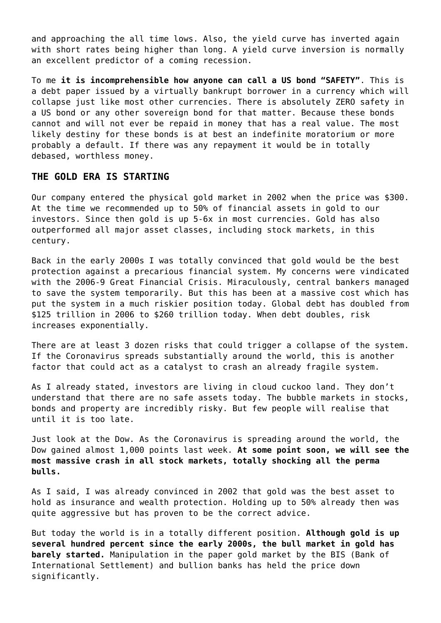and approaching the all time lows. Also, the yield curve has inverted again with short rates being higher than long. A yield curve inversion is normally an excellent predictor of a coming recession.

To me **it is incomprehensible how anyone can call a US bond "SAFETY"**. This is a debt paper issued by a virtually bankrupt borrower in a currency which will collapse just like most other currencies. There is absolutely ZERO safety in a US bond or any other sovereign bond for that matter. Because these bonds cannot and will not ever be repaid in money that has a real value. The most likely destiny for these bonds is at best an indefinite moratorium or more probably a default. If there was any repayment it would be in totally debased, worthless money.

## **THE GOLD ERA IS STARTING**

Our company entered the physical gold market in 2002 when the price was \$300. At the time we recommended up to 50% of financial assets in gold to our investors. Since then gold is up 5-6x in most currencies. Gold has also outperformed all major asset classes, including stock markets, in this century.

Back in the early 2000s I was totally convinced that gold would be the best protection against a precarious financial system. My concerns were vindicated with the 2006-9 Great Financial Crisis. Miraculously, central bankers managed to save the system temporarily. But this has been at a massive cost which has put the system in a much riskier position today. Global debt has doubled from \$125 trillion in 2006 to \$260 trillion today. When debt doubles, risk increases exponentially.

There are at least [3 dozen risks](https://goldswitzerland.com/3-dozen-reasons-to-hold-gold/) that could trigger a collapse of the system. If the Coronavirus spreads substantially around the world, this is another factor that could act as a catalyst to crash an already fragile system.

As I already stated, investors are living in cloud cuckoo land. They don't understand that there are no safe assets today. The bubble markets in stocks, bonds and property are incredibly risky. But few people will realise that until it is too late.

Just look at the Dow. As the Coronavirus is spreading around the world, the Dow gained almost 1,000 points last week. **At some point soon, we will see the most massive crash in all stock markets, totally shocking all the perma bulls.**

As I said, I was already convinced in 2002 that gold was the best asset to hold as insurance and wealth protection. Holding up to 50% already then was quite aggressive but has proven to be the correct advice.

But today the world is in a totally different position. **Although gold is up several hundred percent since the early 2000s, the bull market in gold has barely started.** Manipulation in the paper gold market by the BIS (Bank of International Settlement) and bullion banks has held the price down significantly.